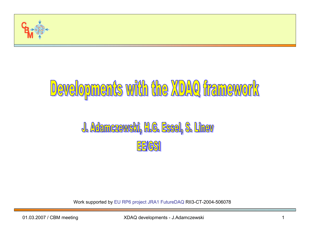

# Developments with the XDAQ framework

# J. Adamczewski, H.G. Essel, S. Linev EE/GSI

W ork s upported by E U RP6 project JRA1 F utureDAQ RII3-CT-2004-50607 8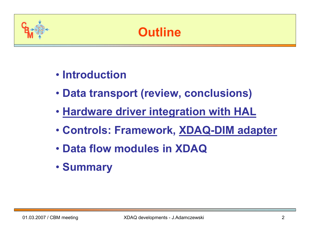

- **Introduction**
- **Data transport (review, conclusions)**
- **Hardware driver integration with HAL**
- **Controls: Framework, XDAQ-DIM adapter**
- **Data flow modules in XDAQ**
- **Summary**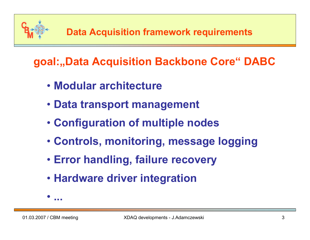

**goal:"Data Acquisition Backbone Core" DABC** 

- **Modular architecture**
- **Data transport management**
- **Configuration of multiple nodes**
- **Controls, monitoring, message logging**
- **Error handling, failure recovery**
- **Hardware driver integration**

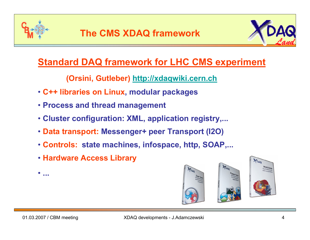



# **Standard DAQ framework for LHC CMS experiment**

**(Orsini, Gutleber) [http://xdaqwiki.cern.ch](http://xdaqwiki.cern.ch/)**

- **C++ libraries on Linux, modular packages**
- **Process and thread management**
- **Cluster configuration: XML, application registry,...**
- **Data transport: Messenger+ peer Transport (I2 O)**
- **Controls: state machines, infospace, http, SOAP,...**
- **Hardware Access Library**



•**...**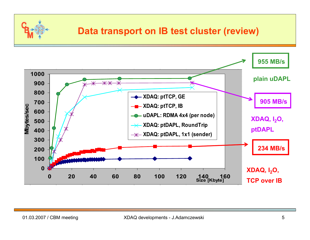

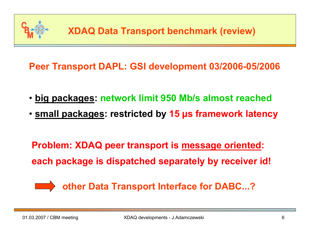

**Peer Transport DAPL: GSI development 03/2006-05/2006**

- **big packages: network limit 950 Mb/s almost reached**
- **small packages: restricted by 15 µs framework latency**

**Problem: XDAQ peer transport is message oriented: each package is dispatched separately by receiver id!**



**other Data Transport Interface for DABC...?**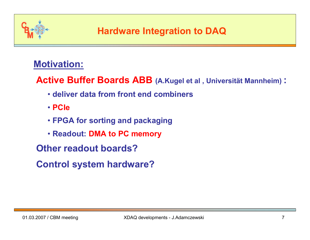

### **Motivation:**

**Active Buffer Boards ABB (A.Kugel et al , Universität Mannheim) :**

- **deliver data from front end combiners**
- **PCIe**
- **FPGA for sorting and packaging**
- **Readout: DMA to PC memory**
- **Other readout boards?**
- **Control system hardware?**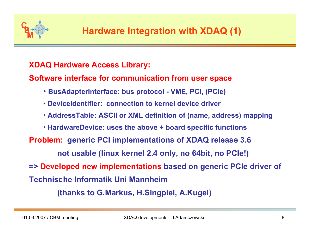

#### **XDAQ Hardware Access Library:**

**Software interface for communication from user space**

- **BusAdapterInterface: bus protocol - VME, PCI, (PCIe)**
- **DeviceIdentifier: connection to kernel device driver**
- **AddressTable: ASCII or XML definition of (name, address) mapping**
- **HardwareDevice: uses the above + board specific functions**
- **Problem: generic PCI implementations of XDAQ release 3.6**

**not usable (linux kernel 2.4 only, no 64bit, no PCIe!)**

**=> Developed new implementations based on generic PCIe driver of** 

**Technische Informatik UniMannheim**

**(thanks to G.Markus, H.Singpiel, A.Kugel)**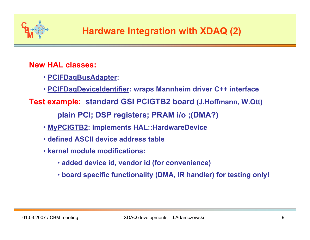

#### **New HAL classes:**

- **PCIFDaqBusAdapter:**
- **PCIFDaqDeviceIdentifier: wraps Mannheim driver C++ interface**
- **Test example: s t andard GSI PCIGTB2 board (J.Hoffmann, W.Ott) plain PCI; DSP registers; PRAM i/o ;(DMA?)**
	- **MyPCIGTB2: implements HAL::HardwareDevice**
	- **defined ASCII device address table**
	- **kernel module modifications:** 
		- **added device id, vendor id (for convenience)**
		- **board specific functionality (DMA, IR handler) for testing only!**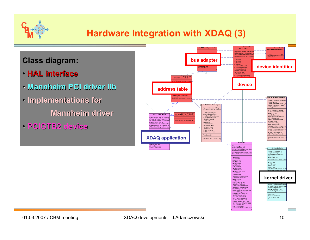

# **Hardware Integration with XDAQ (3)**

#### **Class diagram:**

- **HAL interface HAL interface**
- **Mannheim PCI driver li PCI driver lib**
- **Implementations for Implementations for Mannheim driver**
- **PCIGTB2 device PCIGTB2 device**

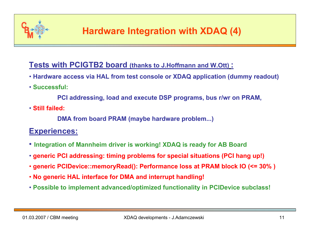

#### **Tests with PCIGTB2 board (thanks to J.Hoffmann and W.Ott) :**

- **Hardware access via HAL from test console o r XDAQ application (dummy readout)**
- **Successful:**

**PCI addressing, load and execute DSP programs, bus r/wr on PRAM,** 

• **Still failed:**

**DMA from board P R A M (maybe hardware problem...)**

#### **Experiences:**

- **Integra tion of Mannheim driver is working! XDAQ is ready for AB Board**
- **generic PCI addressing: timin g problems for special situations (PCI hang up!)**
- **generic PCIDevice::memoryRe ad(): Performance loss at PRAM block IO (<= 30% )**
- **No generic HAL interface for DMA and interrupt handling!**
- **Possible to implement advanced/optimized functionality in PCIDevice subclass!**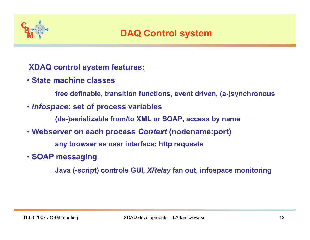

#### **XDA Q control system features:**

- **State machine classes** 
	- **free definable, transition functions, event driven, (a-)synchronous**
- *Infospace***: set of process variables**

**(de-)serializable from/to XML or SOAP, access by name** 

• **Webserver on each process** *Context* **(nodename:port)**

**any browser as user interface; http requests**

• **SOAP messaging** 

**Java (-script) controls GUI,** *XRelay* **fan out, infospace monitoring**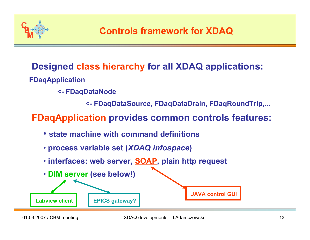

# **Designed class hierarchy for all XDAQ applications:**

- **FDaqApplication**
	- **<- FDaqDataNode**
		- **<- FDaqDataSource, FDaqDataDrain, FDaqRoundTrip,...**

# **FDaqApplication provides common controls features:**

- **state machine with command definitions**
- **process variable set (***XDAQ infospace***)**
- **interfaces: web server, SOAP, plain http request**

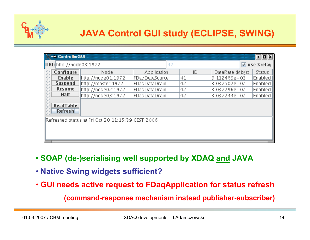

| -M ControllerGUI<br>비미                            |                             |                    |                |    |                 |               |  |  |  |  |  |  |  |
|---------------------------------------------------|-----------------------------|--------------------|----------------|----|-----------------|---------------|--|--|--|--|--|--|--|
|                                                   | URL: http://node03:1972     |                    | 42             |    | use Xrelay<br>M |               |  |  |  |  |  |  |  |
|                                                   | Configure                   | Node               | Application    | ID | DataRate (Mb/s) | <b>Status</b> |  |  |  |  |  |  |  |
|                                                   | <b>Enable</b>               | http://node01:1972 | FDagDataSource | 41 | l9.112469e+02   | Enabled       |  |  |  |  |  |  |  |
|                                                   | <b>Suspend</b>              | http://master:1972 | FDagDataDrain  | 42 | 3.037502e+02    | Enabled       |  |  |  |  |  |  |  |
|                                                   | <b>Resume</b>               | http://node02:1972 | FDagDataDrain  | 42 | 3.037296e+02    | Enabled       |  |  |  |  |  |  |  |
|                                                   | <b>Halt</b>                 | http://node03:1972 | FDagDataDrain  | 42 | 3.037244e+02    | Enabled       |  |  |  |  |  |  |  |
|                                                   | <b>ReadTable</b><br>Refresh |                    |                |    |                 |               |  |  |  |  |  |  |  |
| Refreshed status at Fri Oct 20 11:15:39 CEST 2006 |                             |                    |                |    |                 |               |  |  |  |  |  |  |  |

- **SOAP (de-)serialising well supported by XDAQ and JAVA**
- **Native Swing widgets sufficient?**
- **GUI needs active request to FDaqA pplication for status refresh**

**(command-response mechanism instead publisher-subscriber)**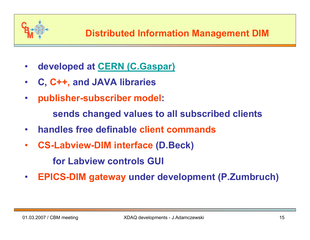

- •**developed at [CERN \(C.Gaspar\)](http://dim.web.cern.ch/dim/)**
- •**C, C++, and JAVA libraries**
- •**publisher-subscriber model:**

**sends changed values to all subscribed clients**

- •**handles free definable client commands**
- • **CS-Labview-DIM interface (D.Beck) for Labviewcontrols GUI**
- •**EPICS-DIM gateway under development (P.Zumbruch)**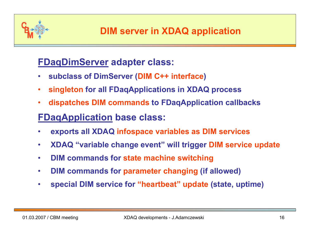

### **FDaqDimServer adapter class:**

- •**subclass of DimServer (DIM C++ interface )**
- $\bullet$ **singleton for all F DaqApplications in XDAQ process**
- •**dispatches DIM commands to FDaqApplication callbacks**

# **FDaqApplication base class:**

- •**exports all XDAQ infospace variables as DIM services**
- •**XDA Q "variable change event" will trigger DIM service update**
- $\bullet$ **DIM commands for state machine switching**
- $\bullet$ **DIM commands for parameter changing (if allowed)**
- $\bullet$ **special DIM service for "heartbeat" update (state, uptime)**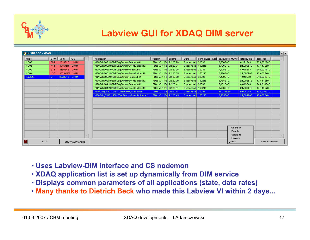

# **Labview GUI for XDAQ DIM server**

| <b>S-H XDAQCC - XDAQ</b> |        |               |              |                 |                                            |                        |        |                  |        |                                      |              |              | $\boxed{\blacksquare}$ |
|--------------------------|--------|---------------|--------------|-----------------|--------------------------------------------|------------------------|--------|------------------|--------|--------------------------------------|--------------|--------------|------------------------|
| Node                     | CPU    | Mem           | <b>OS</b>    | $\mathcal{F}$ . | <b>Application</b>                         | version                | uptime | <b>State</b>     |        | currentSize [byte] bandwidth [MByte/ | latency [us] | ate [Hz]     |                        |
| k008                     | 381    | 2013820       | <b>LINUX</b> |                 | XDAQ/Ixi008:1972/FDaqDummyReadout:41       | FDag v0.1(Fe) 22:20:29 |        | Suspended        | 30035  | 6,860E+0                             | 4.171E+3     | 239,732E+0   |                        |
| <b>ki006</b>             | 111    | 4915424 LINUX |              |                 | XDAQ/Ixi008:1968/FDaqDummyEventBuilder:42  | FDag v0.1(Fe) 22:20:34 |        | Suspended        | 150216 | 6,786E+0                             | 21,090E+3    | 47,417E+0    |                        |
| ki002                    | 311    | 3466548 LINUX |              |                 | XDAQ/Ixi006:1972/FDagDummyReadout:41       | FDag v0.1(Fe) 22:20:35 |        | Suspended 30033  |        | 7,128E+0                             | 4,015E+3     | 249,097E+0   |                        |
| km <sub>04</sub>         | 137    | 1033455(11NHX |              |                 | XDAO/lxTDB:1968/EDagDirmmyEvantRuilder42   | FDag v0.1(Fa) 22:20:35 |        | Suspended        | 150216 | 6,784F+0                             | 21,096F+3    | 47,403 F+0   |                        |
| kg0517                   | $24 -$ | 3332816 LINUX |              |                 | XDAQ/k002:1972/FDagDummyReadout:41         | FDag v0.1(Fe) 22:20:39 |        | Suspended 30033  |        | 7,120E+0                             | 4,019E+3     | 248,824E+0   |                        |
|                          |        |               |              |                 | XDAQ/Ixi002:1968/FDagDummyEventBuilder:42  | FDag v0.1(Fe) 22:20:39 |        | Suspended 150216 |        | 6,785E+0                             | 21,092E+3    | 47,411E+0    |                        |
|                          |        |               |              |                 | XDAQ/lxi004:1972/FDaqDummyReadout:41       | FDag v0.1(Fe) 22:20:41 |        | Suspended 30033  |        | 7,131E+0                             | 4,013E+3     | 249,213E+0   |                        |
|                          |        |               |              |                 | XDAQ/lxi004:1968/FDaqDummyEventBuilder:42  | FDag v0.1(Fe) 22:20:41 |        | Suspended 150216 |        | 6,786E+0                             | 21,090E+3    | 47,416E+0    |                        |
|                          |        |               |              |                 | XDAQ/liig0617:1072/FDaqDummyRoadout:41     | FDag v0.1(Fo) 22:20:44 |        | Supported 30033  |        | 14.274E <sub>1</sub> 0               | 2,006E(3)    | 109,810E10   |                        |
|                          |        |               |              |                 | XDAQ/lxg0517:1968/FDaqDummyEventBuilfer:42 | FDag v0.1(Fe) 22:20:45 |        | Suspended        | 150216 | 6,785E+0                             | 21,094E+3    | 47,408E+0    |                        |
|                          |        |               |              |                 |                                            |                        |        |                  |        |                                      |              |              |                        |
|                          |        |               |              |                 |                                            |                        |        |                  |        |                                      |              |              |                        |
|                          |        |               |              |                 |                                            |                        |        |                  |        |                                      |              |              |                        |
|                          |        |               |              |                 |                                            |                        |        |                  |        |                                      |              |              |                        |
|                          |        |               |              |                 |                                            |                        |        |                  |        |                                      |              |              |                        |
|                          |        |               |              |                 |                                            |                        |        |                  |        |                                      |              |              |                        |
|                          |        |               |              |                 |                                            |                        |        |                  |        |                                      |              |              |                        |
|                          |        |               |              |                 |                                            |                        |        |                  |        |                                      |              |              |                        |
|                          |        |               |              |                 |                                            |                        |        |                  |        | Configuro                            |              |              |                        |
|                          |        |               |              |                 |                                            |                        |        |                  |        | Enable                               |              |              |                        |
|                          |        |               |              |                 |                                            |                        |        |                  |        | Suspend<br>Resume                    |              |              |                        |
| EXIT<br>SHOW XDAG Apps   |        |               |              |                 |                                            |                        |        |                  |        | $J$ Halt                             |              | Senc Command |                        |

- **Uses Labview-DIM interface and CS nodemon**
- **XDAQ application list is set up dynamically from DIM service**
- **Displays common parameters of all applications (state, data rates)**
- **Many thanks to Dietrich Beck who made this Labview VI within 2 days...**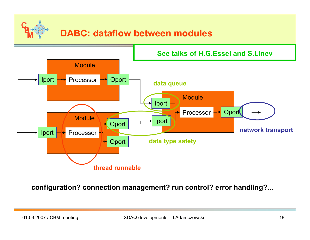# **DABC: dataflow between modules**



**configuration? connection management? run control? error handling?...**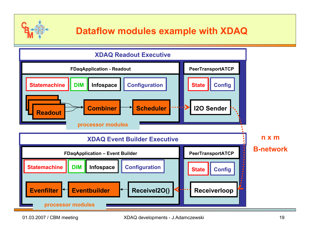